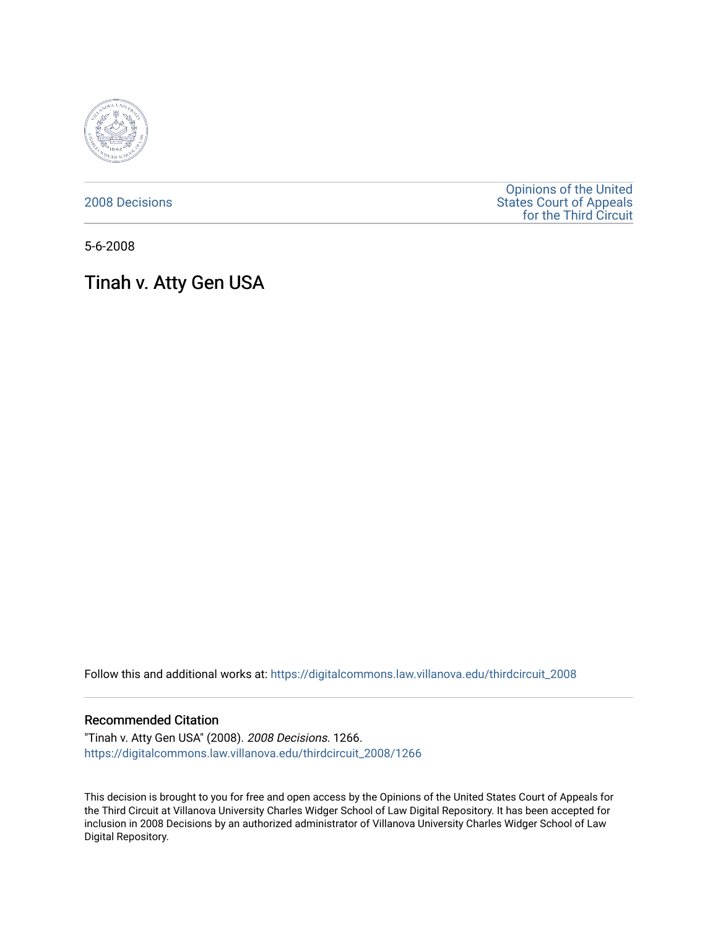

[2008 Decisions](https://digitalcommons.law.villanova.edu/thirdcircuit_2008)

[Opinions of the United](https://digitalcommons.law.villanova.edu/thirdcircuit)  [States Court of Appeals](https://digitalcommons.law.villanova.edu/thirdcircuit)  [for the Third Circuit](https://digitalcommons.law.villanova.edu/thirdcircuit) 

5-6-2008

# Tinah v. Atty Gen USA

Follow this and additional works at: [https://digitalcommons.law.villanova.edu/thirdcircuit\\_2008](https://digitalcommons.law.villanova.edu/thirdcircuit_2008?utm_source=digitalcommons.law.villanova.edu%2Fthirdcircuit_2008%2F1266&utm_medium=PDF&utm_campaign=PDFCoverPages) 

#### Recommended Citation

"Tinah v. Atty Gen USA" (2008). 2008 Decisions. 1266. [https://digitalcommons.law.villanova.edu/thirdcircuit\\_2008/1266](https://digitalcommons.law.villanova.edu/thirdcircuit_2008/1266?utm_source=digitalcommons.law.villanova.edu%2Fthirdcircuit_2008%2F1266&utm_medium=PDF&utm_campaign=PDFCoverPages) 

This decision is brought to you for free and open access by the Opinions of the United States Court of Appeals for the Third Circuit at Villanova University Charles Widger School of Law Digital Repository. It has been accepted for inclusion in 2008 Decisions by an authorized administrator of Villanova University Charles Widger School of Law Digital Repository.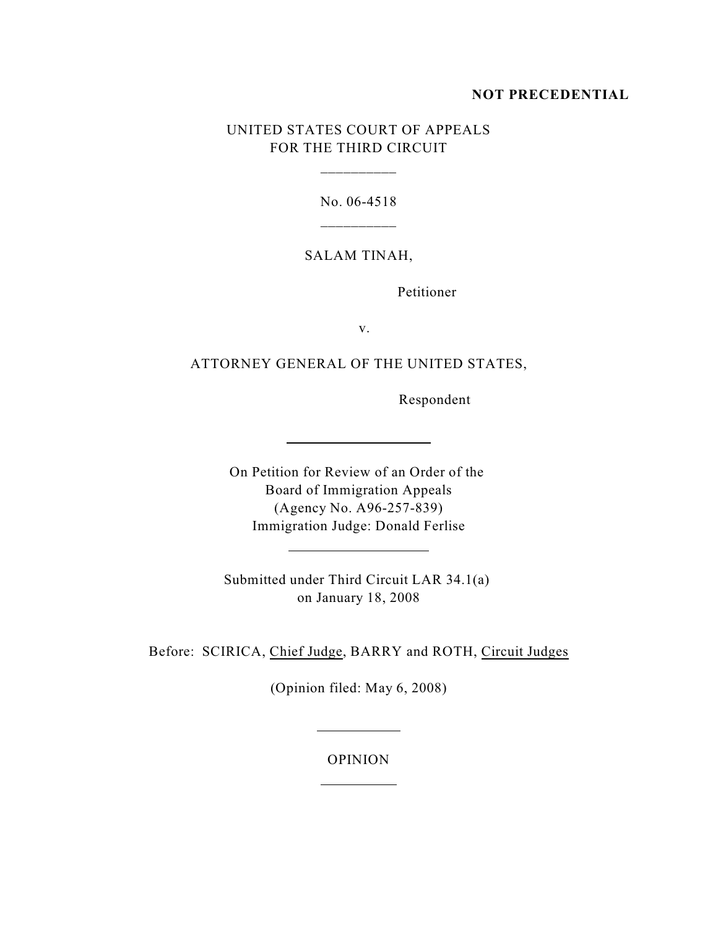### **NOT PRECEDENTIAL**

# UNITED STATES COURT OF APPEALS FOR THE THIRD CIRCUIT

\_\_\_\_\_\_\_\_\_\_

No. 06-4518 \_\_\_\_\_\_\_\_\_\_

# SALAM TINAH,

Petitioner

v.

## ATTORNEY GENERAL OF THE UNITED STATES,

Respondent

On Petition for Review of an Order of the Board of Immigration Appeals (Agency No. A96-257-839) Immigration Judge: Donald Ferlise

l

l

Submitted under Third Circuit LAR 34.1(a) on January 18, 2008

<u> 1989 - Johann Barbara, martin a</u>

Before: SCIRICA, Chief Judge, BARRY and ROTH, Circuit Judges

(Opinion filed: May 6, 2008)

#### OPINION

 $\overline{a}$ 

 $\overline{a}$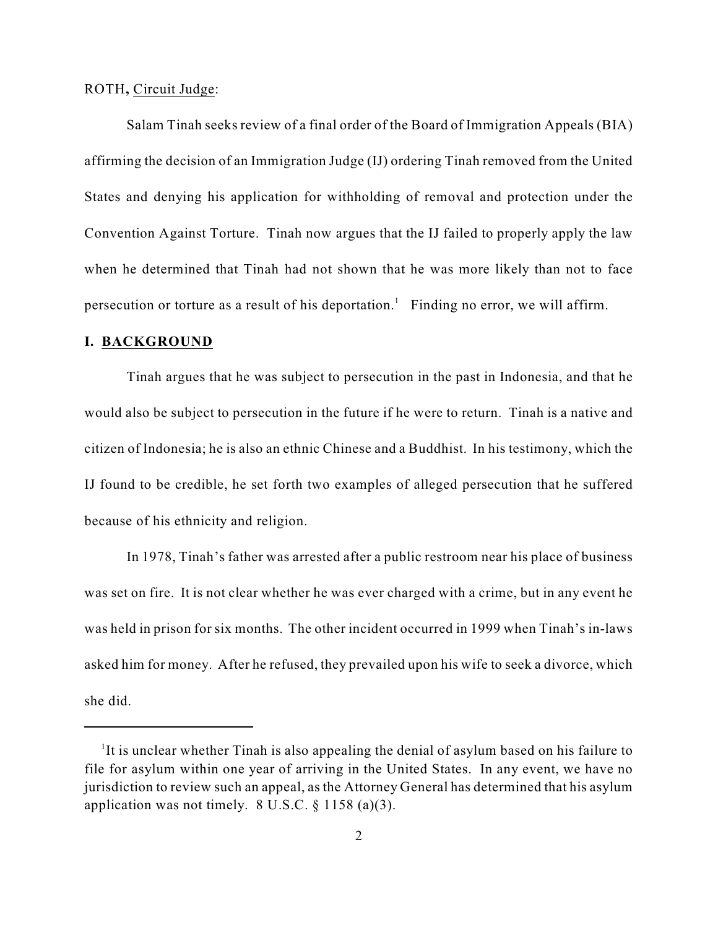ROTH**,** Circuit Judge:

Salam Tinah seeks review of a final order of the Board of Immigration Appeals (BIA) affirming the decision of an Immigration Judge (IJ) ordering Tinah removed from the United States and denying his application for withholding of removal and protection under the Convention Against Torture. Tinah now argues that the IJ failed to properly apply the law when he determined that Tinah had not shown that he was more likely than not to face persecution or torture as a result of his deportation.<sup>1</sup> Finding no error, we will affirm.

#### **I. BACKGROUND**

Tinah argues that he was subject to persecution in the past in Indonesia, and that he would also be subject to persecution in the future if he were to return. Tinah is a native and citizen of Indonesia; he is also an ethnic Chinese and a Buddhist. In his testimony, which the IJ found to be credible, he set forth two examples of alleged persecution that he suffered because of his ethnicity and religion.

In 1978, Tinah's father was arrested after a public restroom near his place of business was set on fire. It is not clear whether he was ever charged with a crime, but in any event he was held in prison for six months. The other incident occurred in 1999 when Tinah's in-laws asked him for money. After he refused, they prevailed upon his wife to seek a divorce, which she did.

<sup>&</sup>lt;sup>1</sup>It is unclear whether Tinah is also appealing the denial of asylum based on his failure to file for asylum within one year of arriving in the United States. In any event, we have no jurisdiction to review such an appeal, as the Attorney General has determined that his asylum application was not timely.  $8 \text{ U.S.C.} \$  1158 (a)(3).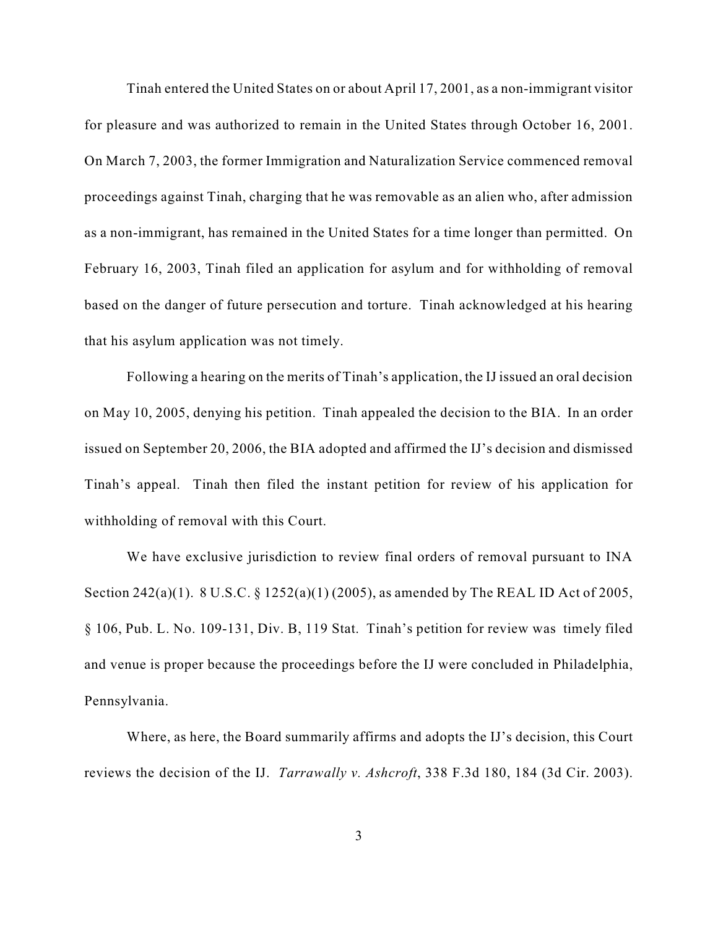Tinah entered the United States on or about April 17, 2001, as a non-immigrant visitor for pleasure and was authorized to remain in the United States through October 16, 2001. On March 7, 2003, the former Immigration and Naturalization Service commenced removal proceedings against Tinah, charging that he was removable as an alien who, after admission as a non-immigrant, has remained in the United States for a time longer than permitted. On February 16, 2003, Tinah filed an application for asylum and for withholding of removal based on the danger of future persecution and torture. Tinah acknowledged at his hearing that his asylum application was not timely.

Following a hearing on the merits of Tinah's application, the IJ issued an oral decision on May 10, 2005, denying his petition. Tinah appealed the decision to the BIA. In an order issued on September 20, 2006, the BIA adopted and affirmed the IJ's decision and dismissed Tinah's appeal. Tinah then filed the instant petition for review of his application for withholding of removal with this Court.

We have exclusive jurisdiction to review final orders of removal pursuant to INA Section 242(a)(1). 8 U.S.C. § 1252(a)(1) (2005), as amended by The REAL ID Act of 2005, § 106, Pub. L. No. 109-131, Div. B, 119 Stat. Tinah's petition for review was timely filed and venue is proper because the proceedings before the IJ were concluded in Philadelphia, Pennsylvania.

Where, as here, the Board summarily affirms and adopts the IJ's decision, this Court reviews the decision of the IJ. *Tarrawally v. Ashcroft*, 338 F.3d 180, 184 (3d Cir. 2003).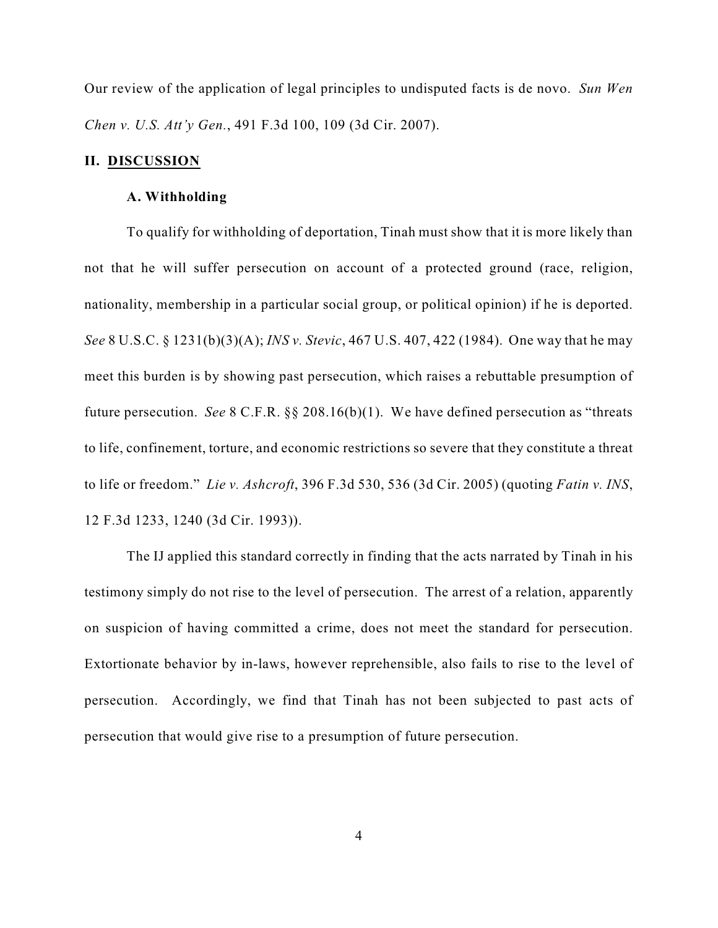Our review of the application of legal principles to undisputed facts is de novo. *Sun Wen Chen v. U.S. Att'y Gen.*, 491 F.3d 100, 109 (3d Cir. 2007).

#### **II. DISCUSSION**

#### **A. Withholding**

To qualify for withholding of deportation, Tinah must show that it is more likely than not that he will suffer persecution on account of a protected ground (race, religion, nationality, membership in a particular social group, or political opinion) if he is deported. *See* 8 U.S.C. § 1231(b)(3)(A); *INS v. Stevic*, 467 U.S. 407, 422 (1984). One way that he may meet this burden is by showing past persecution, which raises a rebuttable presumption of future persecution. *See* 8 C.F.R. §§ 208.16(b)(1). We have defined persecution as "threats to life, confinement, torture, and economic restrictions so severe that they constitute a threat to life or freedom." *Lie v. Ashcroft*, 396 F.3d 530, 536 (3d Cir. 2005) (quoting *Fatin v. INS*, 12 F.3d 1233, 1240 (3d Cir. 1993)).

The IJ applied this standard correctly in finding that the acts narrated by Tinah in his testimony simply do not rise to the level of persecution. The arrest of a relation, apparently on suspicion of having committed a crime, does not meet the standard for persecution. Extortionate behavior by in-laws, however reprehensible, also fails to rise to the level of persecution. Accordingly, we find that Tinah has not been subjected to past acts of persecution that would give rise to a presumption of future persecution.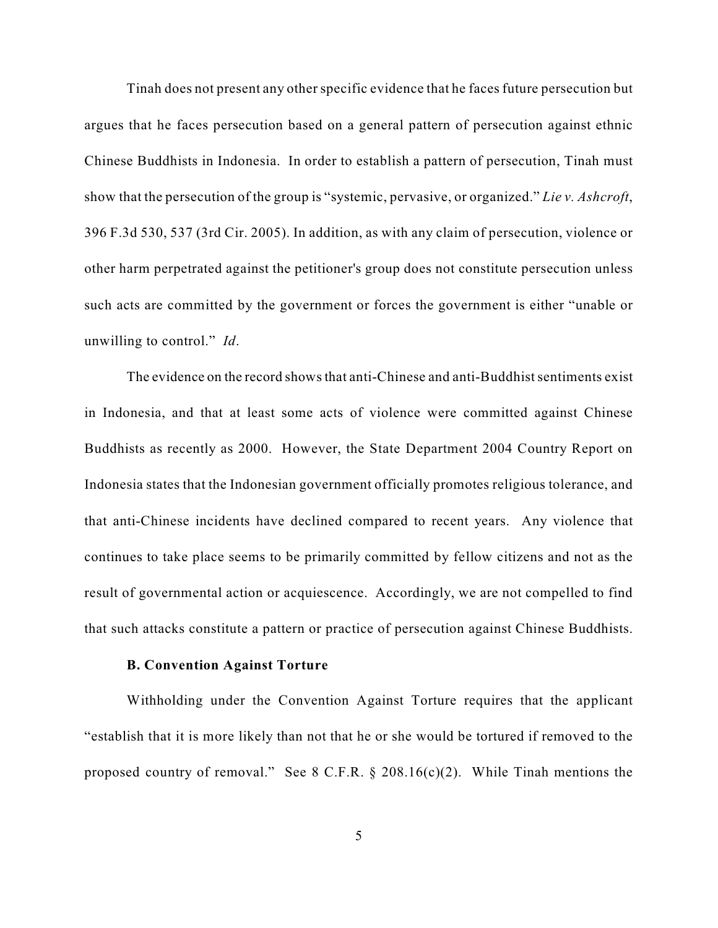Tinah does not present any other specific evidence that he faces future persecution but argues that he faces persecution based on a general pattern of persecution against ethnic Chinese Buddhists in Indonesia. In order to establish a pattern of persecution, Tinah must show that the persecution of the group is "systemic, pervasive, or organized." *Lie v. Ashcroft*, 396 F.3d 530, 537 (3rd Cir. 2005). In addition, as with any claim of persecution, violence or other harm perpetrated against the petitioner's group does not constitute persecution unless such acts are committed by the government or forces the government is either "unable or unwilling to control." *Id*.

The evidence on the record shows that anti-Chinese and anti-Buddhist sentiments exist in Indonesia, and that at least some acts of violence were committed against Chinese Buddhists as recently as 2000. However, the State Department 2004 Country Report on Indonesia states that the Indonesian government officially promotes religious tolerance, and that anti-Chinese incidents have declined compared to recent years. Any violence that continues to take place seems to be primarily committed by fellow citizens and not as the result of governmental action or acquiescence. Accordingly, we are not compelled to find that such attacks constitute a pattern or practice of persecution against Chinese Buddhists.

### **B. Convention Against Torture**

Withholding under the Convention Against Torture requires that the applicant "establish that it is more likely than not that he or she would be tortured if removed to the proposed country of removal." See 8 C.F.R. § 208.16(c)(2). While Tinah mentions the